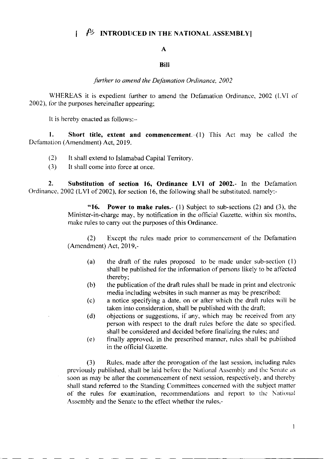#### $\beta$  INTRODUCED IN THE NATIONAL ASSEMBLY  $\mathbf{I}$

## $\mathbf{A}$

# **Rill**

further to amend the Defamation Ordinance, 2002

WHEREAS it is expedient further to amend the Defamation Ordinance, 2002 (LVI of 2002), for the purposes hereinafter appearing;

It is hereby enacted as follows:-

1. Short title, extent and commencement.  $(1)$  This Act may be called the Defamation (Amendment) Act, 2019.

- $(2)$ It shall extend to Islamabad Capital Territory.
- $(3)$ It shall come into force at once.

 $2.$ Substitution of section 16, Ordinance LVI of 2002.- In the Defamation Ordinance, 2002 (LVI of 2002), for section 16, the following shall be substituted, namely:-

> **Power to make rules.**- (1) Subject to sub-sections (2) and (3), the  $"16.$ Minister-in-charge may, by notification in the official Gazette, within six months, make rules to carry out the purposes of this Ordinance.

> Except the rules made prior to commencement of the Defamation  $(2)$ (Amendment) Act, 2019,-

- the draft of the rules proposed to be made under sub-section (1)  $(a)$ shall be published for the information of persons likely to be affected thereby:
- the publication of the draft rules shall be made in print and electronic  $(b)$ media including websites in such manner as may be prescribed;
- a notice specifying a date, on or after which the draft rules will be  $(c)$ taken into consideration, shall be published with the draft;
- objections or suggestions, if any, which may be received from any  $(d)$ person with respect to the draft rules before the date so specified. shall be considered and decided before finalizing the rules; and
- $(e)$ finally approved, in the prescribed manner, rules shall be published in the official Gazette.

Rules, made after the prorogation of the last session, including rules  $(3)$ previously published, shall be laid before the National Assembly and the Senate as soon as may be after the commencement of next session, respectively, and thereby shall stand referred to the Standing Committees concerned with the subject matter of the rules for examination, recommendations and report to the National Assembly and the Senate to the effect whether the rules,-

 $\mathbf{1}$